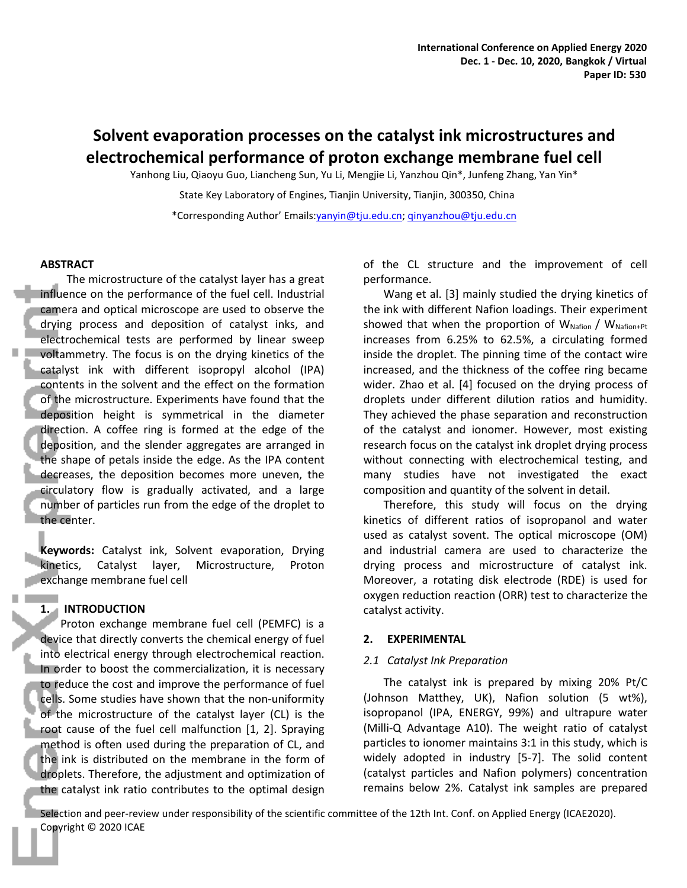# **Solvent evaporation processes on the catalyst ink microstructures and electrochemical performance of proton exchange membrane fuel cell**

Yanhong Liu, Qiaoyu Guo, Liancheng Sun, Yu Li, Mengjie Li, Yanzhou Qin\*, Junfeng Zhang, Yan Yin\*

State Key Laboratory of Engines, Tianjin University, Tianjin, 300350, China

\*Corresponding Author' Emails:yanyin@tju.edu.cn; qinyanzhou@tju.edu.cn

#### **ABSTRACT**

The microstructure of the catalyst layer has a great influence on the performance of the fuel cell. Industrial camera and optical microscope are used to observe the drying process and deposition of catalyst inks, and electrochemical tests are performed by linear sweep voltammetry. The focus is on the drying kinetics of the catalyst ink with different isopropyl alcohol (IPA) contents in the solvent and the effect on the formation of the microstructure. Experiments have found that the deposition height is symmetrical in the diameter direction. A coffee ring is formed at the edge of the deposition, and the slender aggregates are arranged in the shape of petals inside the edge. As the IPA content decreases, the deposition becomes more uneven, the circulatory flow is gradually activated, and a large number of particles run from the edge of the droplet to the center.

**Keywords:** Catalyst ink, Solvent evaporation, Drying kinetics, Catalyst layer, Microstructure, Proton exchange membrane fuel cell

# **1. INTRODUCTION**

Proton exchange membrane fuel cell (PEMFC) is a device that directly converts the chemical energy of fuel into electrical energy through electrochemical reaction. In order to boost the commercialization, it is necessary to reduce the cost and improve the performance of fuel cells. Some studies have shown that the non-uniformity of the microstructure of the catalyst layer (CL) is the root cause of the fuel cell malfunction [1, 2]. Spraying method is often used during the preparation of CL, and the ink is distributed on the membrane in the form of droplets. Therefore, the adjustment and optimization of the catalyst ink ratio contributes to the optimal design of the CL structure and the improvement of cell performance.

Wang et al. [3] mainly studied the drying kinetics of the ink with different Nafion loadings. Their experiment showed that when the proportion of  $W_{Nafion}$  /  $W_{Nafion+Pt}$ increases from 6.25% to 62.5%, a circulating formed inside the droplet. The pinning time of the contact wire increased, and the thickness of the coffee ring became wider. Zhao et al. [4] focused on the drying process of droplets under different dilution ratios and humidity. They achieved the phase separation and reconstruction of the catalyst and ionomer. However, most existing research focus on the catalyst ink droplet drying process without connecting with electrochemical testing, and many studies have not investigated the exact composition and quantity of the solvent in detail.

Therefore, this study will focus on the drying kinetics of different ratios of isopropanol and water used as catalyst sovent. The optical microscope (OM) and industrial camera are used to characterize the drying process and microstructure of catalyst ink. Moreover, a rotating disk electrode (RDE) is used for oxygen reduction reaction (ORR) test to characterize the catalyst activity.

#### **2. EXPERIMENTAL**

# *2.1 Catalyst Ink Preparation*

The catalyst ink is prepared by mixing 20% Pt/C (Johnson Matthey, UK), Nafion solution (5 wt%), isopropanol (IPA, ENERGY, 99%) and ultrapure water (Milli-Q Advantage A10). The weight ratio of catalyst particles to ionomer maintains 3:1 in this study, which is widely adopted in industry [5-7]. The solid content (catalyst particles and Nafion polymers) concentration remains below 2%. Catalyst ink samples are prepared

Selection and peer-review under responsibility of the scientific committee of the 12th Int. Conf. on Applied Energy (ICAE2020). Copyright © 2020 ICAE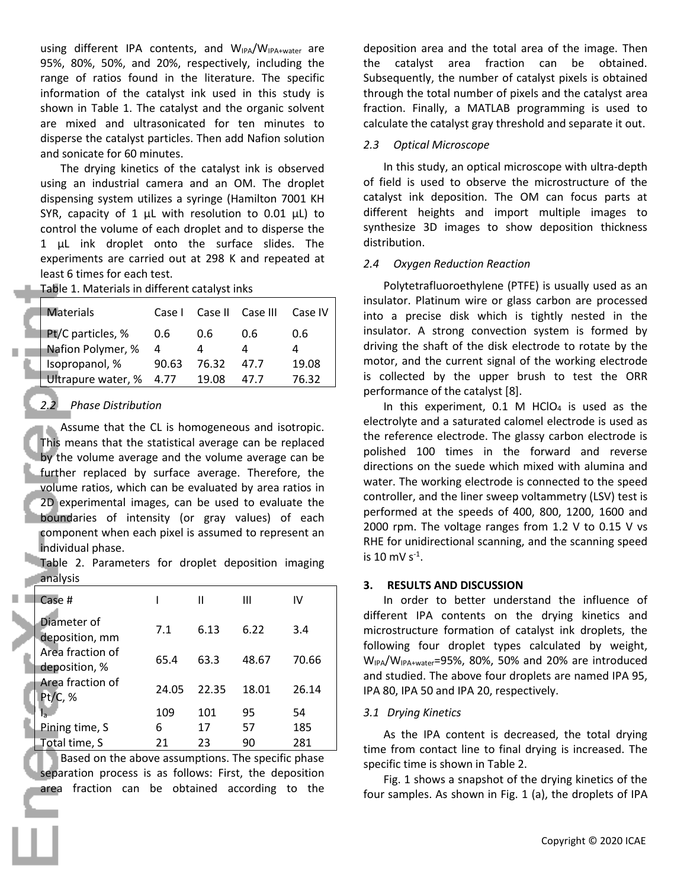using different IPA contents, and W<sub>IPA</sub>/W<sub>IPA+water</sub> are 95%, 80%, 50%, and 20%, respectively, including the range of ratios found in the literature. The specific information of the catalyst ink used in this study is shown in Table 1. The catalyst and the organic solvent are mixed and ultrasonicated for ten minutes to disperse the catalyst particles. Then add Nafion solution and sonicate for 60 minutes.

The drying kinetics of the catalyst ink is observed using an industrial camera and an OM. The droplet dispensing system utilizes a syringe (Hamilton 7001 KH SYR, capacity of 1  $\mu$ L with resolution to 0.01  $\mu$ L) to control the volume of each droplet and to disperse the 1 µL ink droplet onto the surface slides. The experiments are carried out at 298 K and repeated at least 6 times for each test.

Table 1. Materials in different catalyst inks

| <b>Materials</b>        | Case I         |       | Case II Case III | Case IV | insulator. Pla<br>into a prec |
|-------------------------|----------------|-------|------------------|---------|-------------------------------|
| Pt/C particles, %       | 0.6            | 0.6   | 0.6              | 0.6     | insulator. A                  |
| Nafion Polymer, %       | $\overline{a}$ |       |                  | 4       | driving the s                 |
| Isopropanol, %          | 90.63          | 76.32 | 47.7             | 19.08   | motor, and t                  |
| Ultrapure water, % 4.77 |                | 19.08 | 47.7             | 76.32   | is collected                  |

# *2.2 Phase Distribution*

Assume that the CL is homogeneous and isotropic. This means that the statistical average can be replaced by the volume average and the volume average can be further replaced by surface average. Therefore, the volume ratios, which can be evaluated by area ratios in 2D experimental images, can be used to evaluate the boundaries of intensity (or gray values) of each component when each pixel is assumed to represent an individual phase.

Table 2. Parameters for droplet deposition imaging analysis

|                                   |                |       |                |       | ILJULIJ AND DIJLUJJIUN                                                                                                                                            |  |
|-----------------------------------|----------------|-------|----------------|-------|-------------------------------------------------------------------------------------------------------------------------------------------------------------------|--|
| Case #                            |                |       | $\mathbf{III}$ | IV    | In order to better understand the influence of                                                                                                                    |  |
| Diameter of<br>deposition, mm     | 7.1            | 6.13  | 6.22           | 3.4   | different IPA contents on the drying kinetics and<br>microstructure formation of catalyst ink droplets, the<br>following four droplet types calculated by weight, |  |
| Area fraction of<br>deposition, % | 65.4           | 63.3  | 48.67          | 70.66 | W <sub>IPA</sub> /W <sub>IPA+water</sub> =95%, 80%, 50% and 20% are introduced<br>and studied. The above four droplets are named IPA 95,                          |  |
| Area fraction of<br>Pt/C, %       | 24.05          | 22.35 | 18.01          | 26.14 | IPA 80, IPA 50 and IPA 20, respectively.                                                                                                                          |  |
|                                   | 109            | 101   | 95             | 54    | 3.1 Drying Kinetics                                                                                                                                               |  |
| Pining time, S                    | 6              | 17    | 57             | 185   | As the IPA content is decreased, the total drying                                                                                                                 |  |
| Total time, S                     | 21<br>23<br>90 |       |                | 281   | time from contact line to final drying is increased. The                                                                                                          |  |

Based on the above assumptions. The specific phase separation process is as follows: First, the deposition area fraction can be obtained according to the deposition area and the total area of the image. Then the catalyst area fraction can be obtained. Subsequently, the number of catalyst pixels is obtained through the total number of pixels and the catalyst area fraction. Finally, a MATLAB programming is used to calculate the catalyst gray threshold and separate it out.

## *2.3 Optical Microscope*

In this study, an optical microscope with ultra-depth of field is used to observe the microstructure of the catalyst ink deposition. The OM can focus parts at different heights and import multiple images to synthesize 3D images to show deposition thickness distribution.

#### *2.4 Oxygen Reduction Reaction*

Polytetrafluoroethylene (PTFE) is usually used as an insulator. Platinum wire or glass carbon are processed Materials  $\bigcup$  Case I Case II Case III Case IV anto a precise disk which is tightly nested in the insulator. A strong convection system is formed by driving the shaft of the disk electrode to rotate by the Isopropanol, %  $\,$  90.63  $\,$  76.32  $\,$  47.7  $\,$  19.08  $\,$  motor, and the current signal of the working electrode is collected by the upper brush to test the ORR performance of the catalyst [8].

> In this experiment,  $0.1$  M HClO<sub>4</sub> is used as the electrolyte and a saturated calomel electrode is used as the reference electrode. The glassy carbon electrode is polished 100 times in the forward and reverse directions on the suede which mixed with alumina and water. The working electrode is connected to the speed controller, and the liner sweep voltammetry (LSV) test is performed at the speeds of 400, 800, 1200, 1600 and 2000 rpm. The voltage ranges from 1.2 V to 0.15 V vs RHE for unidirectional scanning, and the scanning speed is 10 mV  $s^{-1}$ . .

## **3. RESULTS AND DISCUSSION**

As the IPA content is decreased, the total drying time from contact line to final drying is increased. The specific time is shown in Table 2.

Fig. 1 shows a snapshot of the drying kinetics of the four samples. As shown in Fig. 1 (a), the droplets of IPA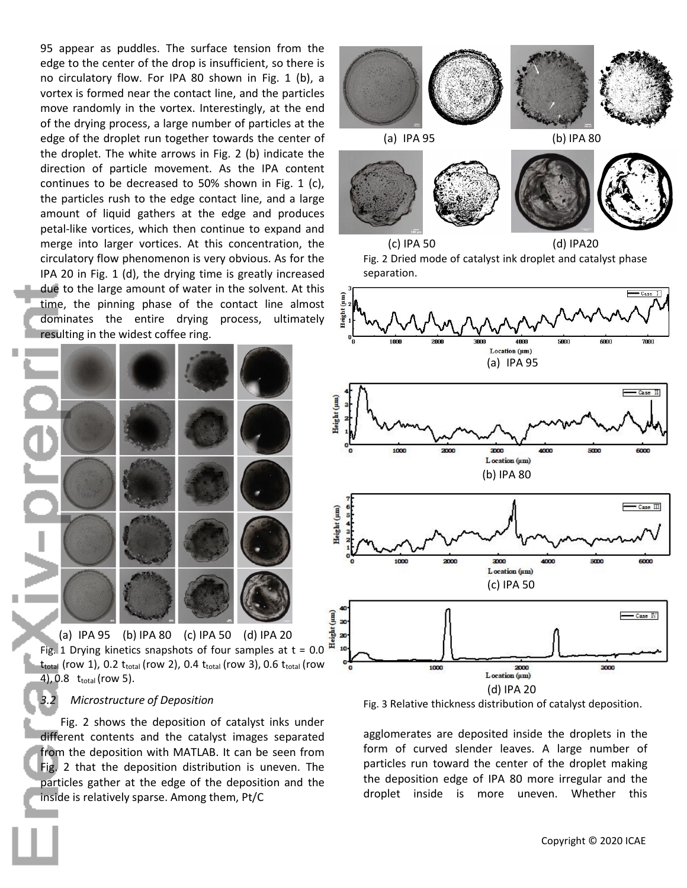95 appear as puddles. The surface tension from the edge to the center of the drop is insufficient, so there is no circulatory flow. For IPA 80 shown in Fig. 1 (b), a vortex is formed near the contact line, and the particles move randomly in the vortex. Interestingly, at the end of the drying process, a large number of particles at the edge of the droplet run together towards the center of the droplet. The white arrows in Fig. 2 (b) indicate the direction of particle movement. As the IPA content continues to be decreased to 50% shown in Fig. 1 (c), the particles rush to the edge contact line, and a large amount of liquid gathers at the edge and produces petal-like vortices, which then continue to expand and merge into larger vortices. At this concentration, the circulatory flow phenomenon is very obvious. As for the IPA 20 in Fig. 1 (d), the drying time is greatly increased due to the large amount of water in the solvent. At this time, the pinning phase of the contact line almost dominates the entire drying process, ultimately resulting in the widest coffee ring.



(a) IPA 95 (b) IPA 80 (c) IPA 50 (d) IPA 20 Fig. 1 Drying kinetics snapshots of four samples at  $t = 0.0$  $t_{\text{total}}$  (row 1), 0.2  $t_{\text{total}}$  (row 2), 0.4  $t_{\text{total}}$  (row 3), 0.6  $t_{\text{total}}$  (row  $\frac{64}{9}$ 4), 0.8  $t_{total}$  (row 5).

## *3.2 Microstructure of Deposition*

Fig. 2 shows the deposition of catalyst inks under different contents and the catalyst images separated from the deposition with MATLAB. It can be seen from Fig. 2 that the deposition distribution is uneven. The particles gather at the edge of the deposition and the inside is relatively sparse. Among them, Pt/C







Fig. 3 Relative thickness distribution of catalyst deposition.

agglomerates are deposited inside the droplets in the form of curved slender leaves. A large number of particles run toward the center of the droplet making the deposition edge of IPA 80 more irregular and the droplet inside is more uneven. Whether this